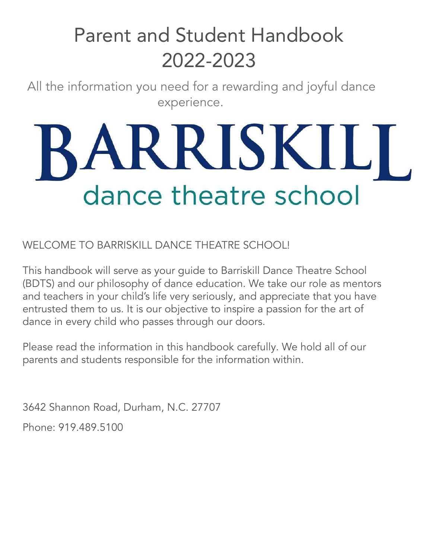# Parent and Student Handbook 2022-2023

All the information you need for a rewarding and joyful dance experience.

# BARRISKILL dance theatre school

WELCOME TO BARRISKILL DANCE THEATRE SCHOOL!

This handbook will serve as your guide to Barriskill Dance Theatre School (BDTS) and our philosophy of dance education. We take our role as mentors and teachers in your child's life very seriously, and appreciate that you have entrusted them to us. It is our objective to inspire a passion for the art of dance in every child who passes through our doors.

Please read the information in this handbook carefully. We hold all of our parents and students responsible for the information within.

3642 Shannon Road, Durham, N.C. 27707 Phone: 919.489.5100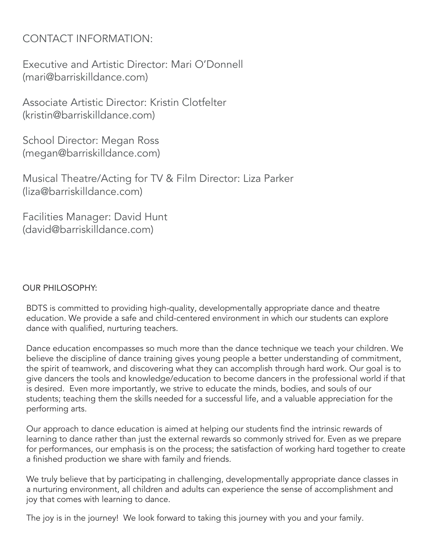CONTACT INFORMATION:

Executive and Artistic Director: Mari O'Donnell (mari@barriskilldance.com)

Associate Artistic Director: Kristin Clotfelter (kristin@barriskilldance.com)

School Director: Megan Ross ([megan@barriskilldance.com](mailto:megan@barriskilldance.com))

Musical Theatre/Acting for TV & Film Director: Liza Parker (liza@barriskilldance.com)

Facilities Manager: David Hunt ([david@barriskilldance.com\)](mailto:david@barriskilldance.com)

# OUR PHILOSOPHY:

BDTS is committed to providing high-quality, developmentally appropriate dance and theatre education. We provide a safe and child-centered environment in which our students can explore dance with qualified, nurturing teachers.

Dance education encompasses so much more than the dance technique we teach your children. We believe the discipline of dance training gives young people a better understanding of commitment, the spirit of teamwork, and discovering what they can accomplish through hard work. Our goal is to give dancers the tools and knowledge/education to become dancers in the professional world if that is desired. Even more importantly, we strive to educate the minds, bodies, and souls of our students; teaching them the skills needed for a successful life, and a valuable appreciation for the performing arts.

Our approach to dance education is aimed at helping our students find the intrinsic rewards of learning to dance rather than just the external rewards so commonly strived for. Even as we prepare for performances, our emphasis is on the process; the satisfaction of working hard together to create a finished production we share with family and friends.

We truly believe that by participating in challenging, developmentally appropriate dance classes in a nurturing environment, all children and adults can experience the sense of accomplishment and joy that comes with learning to dance.

The joy is in the journey! We look forward to taking this journey with you and your family.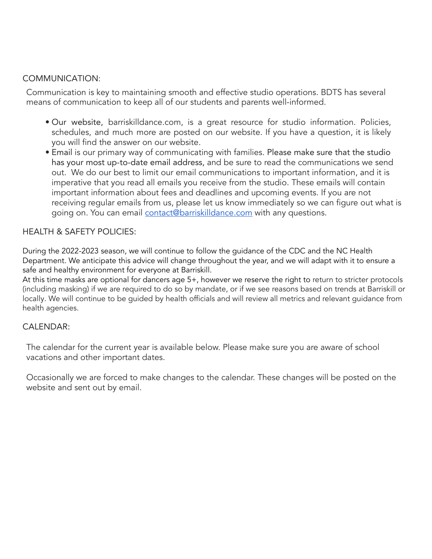#### COMMUNICATION:

Communication is key to maintaining smooth and effective studio operations. BDTS has several means of communication to keep all of our students and parents well-informed.

- Our website, [barriskilldance.com,](http://www.barriskilldance.com/) is a great resource for studio information. Policies, schedules, and much more are posted on our website. If you have a question, it is likely you will find the answer on our website.
- Email is our primary way of communicating with families. Please make sure that the studio has your most up-to-date email address, and be sure to read the communications we send out. We do our best to limit our email communications to important information, and it is imperative that you read all emails you receive from the studio. These emails will contain important information about fees and deadlines and upcoming events. If you are not receiving regular emails from us, please let us know immediately so we can figure out what is going on. You can email [contact@barriskilldance.com](mailto:contact@barriskilldance.com) with any questions.

#### HEALTH & SAFETY POLICIES:

During the 2022-2023 season, we will continue to follow the guidance of the CDC and the NC Health Department. We anticipate this advice will change throughout the year, and we will adapt with it to ensure a safe and healthy environment for everyone at Barriskill.

At this time masks are optional for dancers age 5+, however we reserve the right to return to stricter protocols (including masking) if we are required to do so by mandate, or if we see reasons based on trends at Barriskill or locally. We will continue to be guided by health officials and will review all metrics and relevant guidance from health agencies.

#### CALENDAR:

The calendar for the current year is available below. Please make sure you are aware of school vacations and other important dates.

Occasionally we are forced to make changes to the calendar. These changes will be posted on the website and sent out by email.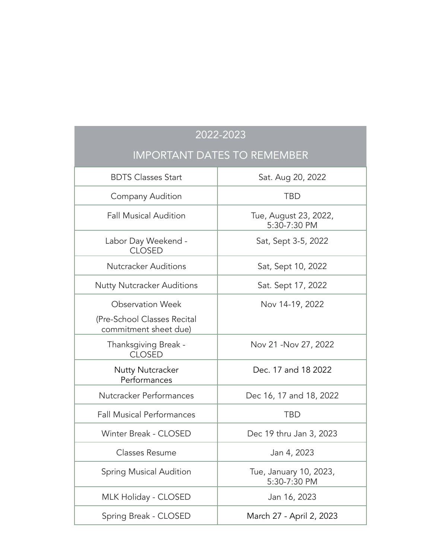|                                                                                 | 2022-2023                              |  |  |  |  |  |  |  |  |  |  |  |
|---------------------------------------------------------------------------------|----------------------------------------|--|--|--|--|--|--|--|--|--|--|--|
| <b>IMPORTANT DATES TO REMEMBER</b>                                              |                                        |  |  |  |  |  |  |  |  |  |  |  |
| <b>BDTS Classes Start</b>                                                       | Sat. Aug 20, 2022                      |  |  |  |  |  |  |  |  |  |  |  |
| <b>Company Audition</b>                                                         | <b>TBD</b>                             |  |  |  |  |  |  |  |  |  |  |  |
| <b>Fall Musical Audition</b>                                                    | Tue, August 23, 2022,<br>5:30-7:30 PM  |  |  |  |  |  |  |  |  |  |  |  |
| Labor Day Weekend -<br><b>CLOSED</b>                                            | Sat, Sept 3-5, 2022                    |  |  |  |  |  |  |  |  |  |  |  |
| <b>Nutcracker Auditions</b>                                                     | Sat, Sept 10, 2022                     |  |  |  |  |  |  |  |  |  |  |  |
| <b>Nutty Nutcracker Auditions</b>                                               | Sat. Sept 17, 2022                     |  |  |  |  |  |  |  |  |  |  |  |
| <b>Observation Week</b><br>(Pre-School Classes Recital<br>commitment sheet due) | Nov 14-19, 2022                        |  |  |  |  |  |  |  |  |  |  |  |
| Thanksgiving Break -<br><b>CLOSED</b>                                           | Nov 21 - Nov 27, 2022                  |  |  |  |  |  |  |  |  |  |  |  |
| <b>Nutty Nutcracker</b><br>Performances                                         | Dec. 17 and 18 2022                    |  |  |  |  |  |  |  |  |  |  |  |
| Nutcracker Performances                                                         | Dec 16, 17 and 18, 2022                |  |  |  |  |  |  |  |  |  |  |  |
| <b>Fall Musical Performances</b>                                                | <b>TBD</b>                             |  |  |  |  |  |  |  |  |  |  |  |
| <b>Winter Break - CLOSED</b>                                                    | Dec 19 thru Jan 3, 2023                |  |  |  |  |  |  |  |  |  |  |  |
| <b>Classes Resume</b>                                                           | Jan 4, 2023                            |  |  |  |  |  |  |  |  |  |  |  |
| <b>Spring Musical Audition</b>                                                  | Tue, January 10, 2023,<br>5:30-7:30 PM |  |  |  |  |  |  |  |  |  |  |  |
| MLK Holiday - CLOSED                                                            | Jan 16, 2023                           |  |  |  |  |  |  |  |  |  |  |  |
| Spring Break - CLOSED                                                           | March 27 - April 2, 2023               |  |  |  |  |  |  |  |  |  |  |  |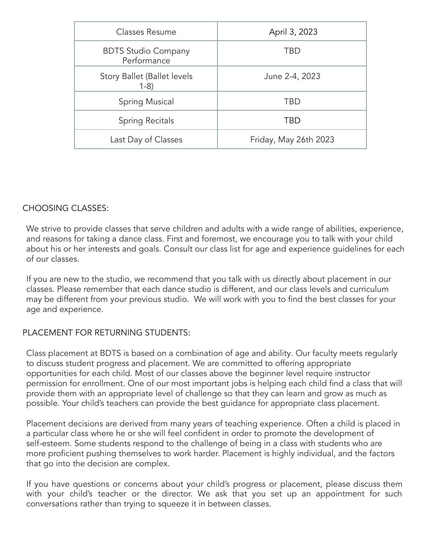| Classes Resume                            | April 3, 2023         |
|-------------------------------------------|-----------------------|
| <b>BDTS Studio Company</b><br>Performance | <b>TBD</b>            |
| Story Ballet (Ballet levels<br>$1-8)$     | June 2-4, 2023        |
| Spring Musical                            | TBD                   |
| <b>Spring Recitals</b>                    | TBD                   |
| Last Day of Classes                       | Friday, May 26th 2023 |

# CHOOSING CLASSES:

We strive to provide classes that serve children and adults with a wide range of abilities, experience, and reasons for taking a dance class. First and foremost, we encourage you to talk with your child about his or her interests and goals. Consult our class list for age and experience guidelines for each of our classes.

If you are new to the studio, we recommend that you talk with us directly about placement in our classes. Please remember that each dance studio is different, and our class levels and curriculum may be different from your previous studio. We will work with you to find the best classes for your age and experience.

# PLACEMENT FOR RETURNING STUDENTS:

Class placement at BDTS is based on a combination of age and ability. Our faculty meets regularly to discuss student progress and placement. We are committed to offering appropriate opportunities for each child. Most of our classes above the beginner level require instructor permission for enrollment. One of our most important jobs is helping each child find a class that will provide them with an appropriate level of challenge so that they can learn and grow as much as possible. Your child's teachers can provide the best guidance for appropriate class placement.

Placement decisions are derived from many years of teaching experience. Often a child is placed in a particular class where he or she will feel confident in order to promote the development of self-esteem. Some students respond to the challenge of being in a class with students who are more proficient pushing themselves to work harder. Placement is highly individual, and the factors that go into the decision are complex.

If you have questions or concerns about your child's progress or placement, please discuss them with your child's teacher or the director. We ask that you set up an appointment for such conversations rather than trying to squeeze it in between classes.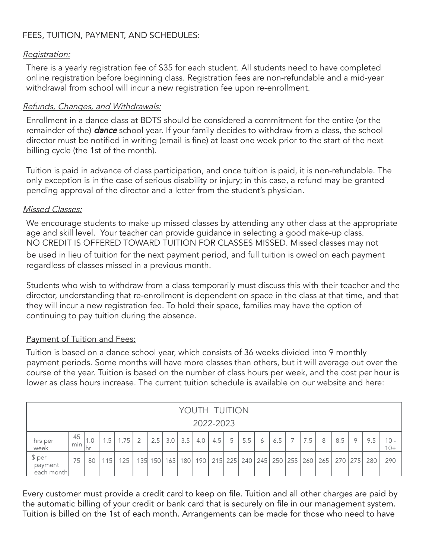# FEES, TUITION, PAYMENT, AND SCHEDULES:

#### Registration:

There is a yearly registration fee of \$35 for each student. All students need to have completed online registration before beginning class. Registration fees are non-refundable and a mid-year withdrawal from school will incur a new registration fee upon re-enrollment.

#### Refunds, Changes, and Withdrawals:

Enrollment in a dance class at BDTS should be considered a commitment for the entire (or the remainder of the) **dance** school year. If your family decides to withdraw from a class, the school director must be notified in writing (email is fine) at least one week prior to the start of the next billing cycle (the 1st of the month).

Tuition is paid in advance of class participation, and once tuition is paid, it is non-refundable. The only exception is in the case of serious disability or injury; in this case, a refund may be granted pending approval of the director and a letter from the student's physician.

#### Missed Classes:

We encourage students to make up missed classes by attending any other class at the appropriate age and skill level. Your teacher can provide guidance in selecting a good make-up class. NO CREDIT IS OFFERED TOWARD TUITION FOR CLASSES MISSED. Missed classes may not

be used in lieu of tuition for the next payment period, and full tuition is owed on each payment regardless of classes missed in a previous month.

Students who wish to withdraw from a class temporarily must discuss this with their teacher and the director, understanding that re-enrollment is dependent on space in the class at that time, and that they will incur a new registration fee. To hold their space, families may have the option of continuing to pay tuition during the absence.

#### Payment of Tuition and Fees:

Tuition is based on a dance school year, which consists of 36 weeks divided into 9 monthly payment periods. Some months will have more classes than others, but it will average out over the course of the year. Tuition is based on the number of class hours per week, and the cost per hour is lower as class hours increase. The current tuition schedule is available on our website and here:

|                                 | YOUTH TUITION |     |     |      |     |     |         |     |     |     |   |     |   |     |  |     |                                                                       |     |             |     |                 |
|---------------------------------|---------------|-----|-----|------|-----|-----|---------|-----|-----|-----|---|-----|---|-----|--|-----|-----------------------------------------------------------------------|-----|-------------|-----|-----------------|
| 2022-2023                       |               |     |     |      |     |     |         |     |     |     |   |     |   |     |  |     |                                                                       |     |             |     |                 |
| hrs per<br>week                 | 45<br>min     | Ihr | 1.5 | 1.75 | -2  | 2.5 | 3.0     | 3.5 | 4.0 | 4.5 | 5 | 5.5 | 6 | 6.5 |  | 7.5 | 8                                                                     | 8.5 | $\mathsf Q$ | 9.5 | $10 -$<br>$10+$ |
| \$ per<br>payment<br>each month | 75            | 80  | 115 | 125  | 135 |     | 150 165 |     |     |     |   |     |   |     |  |     | 180   190   215   225   240   245   250   255   260   265   270   275 |     |             | 280 | 290             |

Every customer must provide a credit card to keep on file. Tuition and all other charges are paid by the automatic billing of your credit or bank card that is securely on file in our management system. Tuition is billed on the 1st of each month. Arrangements can be made for those who need to have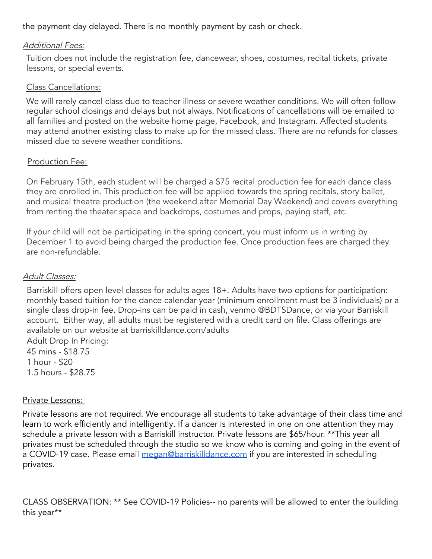the payment day delayed. There is no monthly payment by cash or check.

# Additional Fees:

Tuition does not include the registration fee, dancewear, shoes, costumes, recital tickets, private lessons, or special events.

# Class Cancellations:

We will rarely cancel class due to teacher illness or severe weather conditions. We will often follow regular school closings and delays but not always. Notifications of cancellations will be emailed to all families and posted on the website home page, Facebook, and Instagram. Affected students may attend another existing class to make up for the missed class. There are no refunds for classes missed due to severe weather conditions.

# Production Fee:

On February 15th, each student will be charged a \$75 recital production fee for each dance class they are enrolled in. This production fee will be applied towards the spring recitals, story ballet, and musical theatre production (the weekend after Memorial Day Weekend) and covers everything from renting the theater space and backdrops, costumes and props, paying staff, etc.

If your child will not be participating in the spring concert, you must inform us in writing by December 1 to avoid being charged the production fee. Once production fees are charged they are non-refundable.

# Adult Classes:

Barriskill offers open level classes for adults ages 18+. Adults have two options for participation: monthly based tuition for the dance calendar year (minimum enrollment must be 3 individuals) or a single class drop-in fee. Drop-ins can be paid in cash, venmo @BDTSDance, or via your Barriskill account. Either way, all adults must be registered with a credit card on file. Class offerings are available on our website at barriskilldance.com/adults

Adult Drop In Pricing: 45 mins - \$18.75 1 hour - \$20 1.5 hours - \$28.75

# Private Lessons:

Private lessons are not required. We encourage all students to take advantage of their class time and learn to work efficiently and intelligently. If a dancer is interested in one on one attention they may schedule a private lesson with a Barriskill instructor. Private lessons are \$65/hour. \*\*This year all privates must be scheduled through the studio so we know who is coming and going in the event of a COVID-19 case. Please email [megan@barriskilldance.com](mailto:megan@barriskilldance.com) if you are interested in scheduling privates.

CLASS OBSERVATION: \*\* See COVID-19 Policies-- no parents will be allowed to enter the building this year\*\*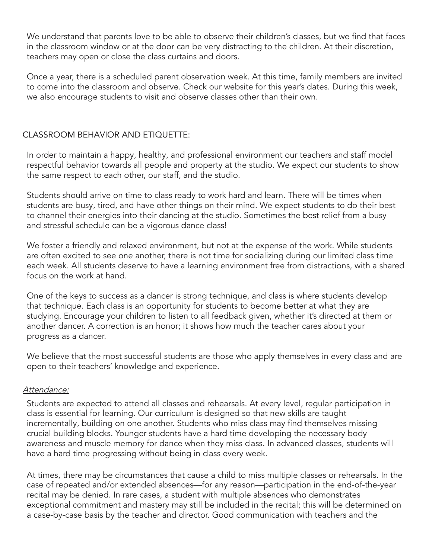We understand that parents love to be able to observe their children's classes, but we find that faces in the classroom window or at the door can be very distracting to the children. At their discretion, teachers may open or close the class curtains and doors.

Once a year, there is a scheduled parent observation week. At this time, family members are invited to come into the classroom and observe. Check our website for this year's dates. During this week, we also encourage students to visit and observe classes other than their own.

# CLASSROOM BEHAVIOR AND ETIQUETTE:

In order to maintain a happy, healthy, and professional environment our teachers and staff model respectful behavior towards all people and property at the studio. We expect our students to show the same respect to each other, our staff, and the studio.

Students should arrive on time to class ready to work hard and learn. There will be times when students are busy, tired, and have other things on their mind. We expect students to do their best to channel their energies into their dancing at the studio. Sometimes the best relief from a busy and stressful schedule can be a vigorous dance class!

We foster a friendly and relaxed environment, but not at the expense of the work. While students are often excited to see one another, there is not time for socializing during our limited class time each week. All students deserve to have a learning environment free from distractions, with a shared focus on the work at hand.

One of the keys to success as a dancer is strong technique, and class is where students develop that technique. Each class is an opportunity for students to become better at what they are studying. Encourage your children to listen to all feedback given, whether it's directed at them or another dancer. A correction is an honor; it shows how much the teacher cares about your progress as a dancer.

We believe that the most successful students are those who apply themselves in every class and are open to their teachers' knowledge and experience.

# Attendance:

Students are expected to attend all classes and rehearsals. At every level, regular participation in class is essential for learning. Our curriculum is designed so that new skills are taught incrementally, building on one another. Students who miss class may find themselves missing crucial building blocks. Younger students have a hard time developing the necessary body awareness and muscle memory for dance when they miss class. In advanced classes, students will have a hard time progressing without being in class every week.

At times, there may be circumstances that cause a child to miss multiple classes or rehearsals. In the case of repeated and/or extended absences—for any reason—participation in the end-of-the-year recital may be denied. In rare cases, a student with multiple absences who demonstrates exceptional commitment and mastery may still be included in the recital; this will be determined on a case-by-case basis by the teacher and director. Good communication with teachers and the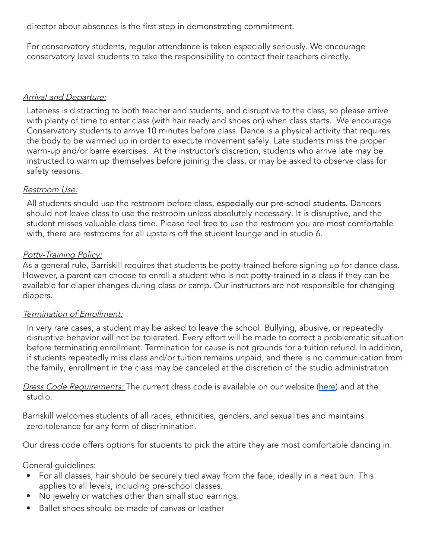director about absences is the first step in demonstrating commitment.

For conservatory students, regular attendance is taken especially seriously. We encourage conservatory level students to take the responsibility to contact their teachers directly.

# Arrival and Departure:

Lateness is distracting to both teacher and students, and disruptive to the class, so please arrive with plenty of time to enter class (with hair ready and shoes on) when class starts. We encourage Conservatory students to arrive 10 minutes before class. Dance is a physical activity that requires the body to be warmed up in order to execute movement safely. Late students miss the proper warm-up and/or barre exercises. At the instructor's discretion, students who arrive late may be instructed to warm up themselves before joining the class, or may be asked to observe class for safety reasons.

# Restroom Use:

All students should use the restroom before class, especially our pre-school students. Dancers should not leave class to use the restroom unless absolutely necessary. It is disruptive, and the student misses valuable class time. Please feel free to use the restroom you are most comfortable with, there are restrooms for all upstairs off the student lounge and in studio 6.

# **Potty-Training Policy:**

As a general rule, Barriskill requires that students be potty-trained before signing up for dance class. However, a parent can choose to enroll a student who is not potty-trained in a class if they can be available for diaper changes during class or camp. Our instructors are not responsible for changing diapers.

# Termination of Enrollment:

In very rare cases, a student may be asked to leave the school. Bullying, abusive, or repeatedly disruptive behavior will not be tolerated. Every effort will be made to correct a problematic situation before terminating enrollment. Termination for cause is not grounds for a tuition refund. In addition, if students repeatedly miss class and/or tuition remains unpaid, and there is no communication from the family, enrollment in the class may be canceled at the discretion of the studio administration.

Dress Code Requirements: The current dress code is available on our website [\(here\)](https://2ce19add-c17f-45f6-b4d2-83fe12d2c1b2.filesusr.com/ugd/6b0632_ba9a7bb1f2f941b09a1c144a5d2905f9.pdf) and at the studio.

Barriskill welcomes students of all races, ethnicities, genders, and sexualities and maintains zero-tolerance for any form of discrimination.

Our dress code offers options for students to pick the attire they are most comfortable dancing in.

General guidelines:

- For all classes, hair should be securely tied away from the face, ideally in a neat bun. This applies to all levels, including pre-school classes.
- No jewelry or watches other than small stud earrings.
- Ballet shoes should be made of canvas or leather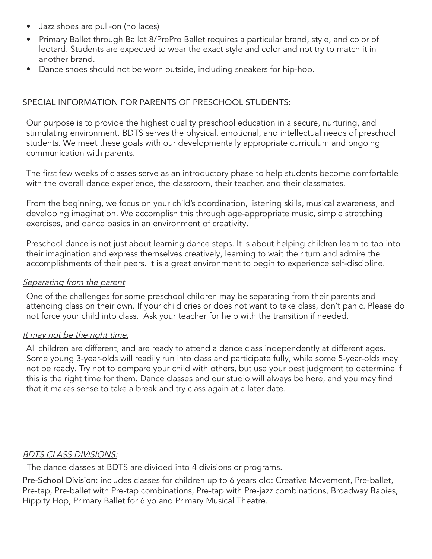- Jazz shoes are pull-on (no laces)
- Primary Ballet through Ballet 8/PrePro Ballet requires a particular brand, style, and color of leotard. Students are expected to wear the exact style and color and not try to match it in another brand.
- Dance shoes should not be worn outside, including sneakers for hip-hop.

# SPECIAL INFORMATION FOR PARENTS OF PRESCHOOL STUDENTS:

Our purpose is to provide the highest quality preschool education in a secure, nurturing, and stimulating environment. BDTS serves the physical, emotional, and intellectual needs of preschool students. We meet these goals with our developmentally appropriate curriculum and ongoing communication with parents.

The first few weeks of classes serve as an introductory phase to help students become comfortable with the overall dance experience, the classroom, their teacher, and their classmates.

From the beginning, we focus on your child's coordination, listening skills, musical awareness, and developing imagination. We accomplish this through age-appropriate music, simple stretching exercises, and dance basics in an environment of creativity.

Preschool dance is not just about learning dance steps. It is about helping children learn to tap into their imagination and express themselves creatively, learning to wait their turn and admire the accomplishments of their peers. It is a great environment to begin to experience self-discipline.

# Separating from the parent

One of the challenges for some preschool children may be separating from their parents and attending class on their own. If your child cries or does not want to take class, don't panic. Please do not force your child into class. Ask your teacher for help with the transition if needed.

# It may not be the right time.

All children are different, and are ready to attend a dance class independently at different ages. Some young 3-year-olds will readily run into class and participate fully, while some 5-year-olds may not be ready. Try not to compare your child with others, but use your best judgment to determine if this is the right time for them. Dance classes and our studio will always be here, and you may find that it makes sense to take a break and try class again at a later date.

# BDTS CLASS DIVISIONS:

The dance classes at BDTS are divided into 4 divisions or programs.

Pre-School Division: includes classes for children up to 6 years old: Creative Movement, Pre-ballet, Pre-tap, Pre-ballet with Pre-tap combinations, Pre-tap with Pre-jazz combinations, Broadway Babies, Hippity Hop, Primary Ballet for 6 yo and Primary Musical Theatre.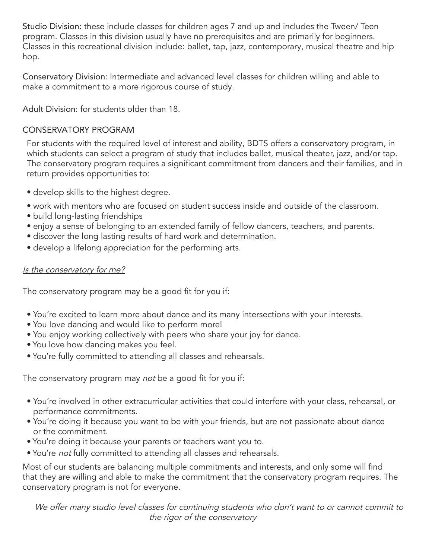Studio Division: these include classes for children ages 7 and up and includes the Tween/ Teen program. Classes in this division usually have no prerequisites and are primarily for beginners. Classes in this recreational division include: ballet, tap, jazz, contemporary, musical theatre and hip hop.

Conservatory Division: Intermediate and advanced level classes for children willing and able to make a commitment to a more rigorous course of study.

Adult Division: for students older than 18.

# CONSERVATORY PROGRAM

For students with the required level of interest and ability, BDTS offers a conservatory program, in which students can select a program of study that includes ballet, musical theater, jazz, and/or tap. The conservatory program requires a significant commitment from dancers and their families, and in return provides opportunities to:

- develop skills to the highest degree.
- work with mentors who are focused on student success inside and outside of the classroom.
- build long-lasting friendships
- enjoy a sense of belonging to an extended family of fellow dancers, teachers, and parents.
- discover the long lasting results of hard work and determination.
- develop a lifelong appreciation for the performing arts.

# Is the conservatory for me?

The conservatory program may be a good fit for you if:

- You're excited to learn more about dance and its many intersections with your interests.
- You love dancing and would like to perform more!
- You enjoy working collectively with peers who share your joy for dance.
- You love how dancing makes you feel.
- You're fully committed to attending all classes and rehearsals.

The conservatory program may *not* be a good fit for you if:

- You're involved in other extracurricular activities that could interfere with your class, rehearsal, or performance commitments.
- You're doing it because you want to be with your friends, but are not passionate about dance or the commitment.
- You're doing it because your parents or teachers want you to.
- You're not fully committed to attending all classes and rehearsals.

Most of our students are balancing multiple commitments and interests, and only some will find that they are willing and able to make the commitment that the conservatory program requires. The conservatory program is not for everyone.

We offer many studio level classes for continuing students who don't want to or cannot commit to the rigor of the conservatory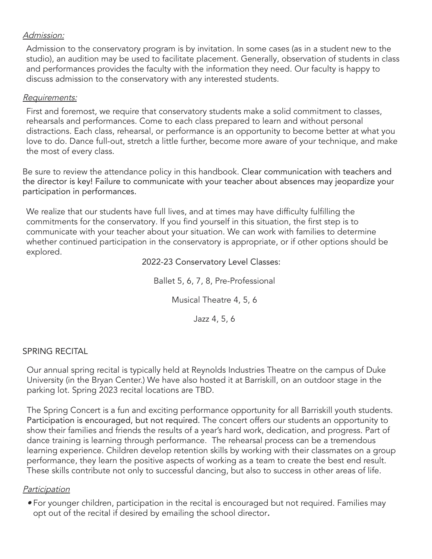#### Admission:

Admission to the conservatory program is by invitation. In some cases (as in a student new to the studio), an audition may be used to facilitate placement. Generally, observation of students in class and performances provides the faculty with the information they need. Our faculty is happy to discuss admission to the conservatory with any interested students.

#### Requirements:

First and foremost, we require that conservatory students make a solid commitment to classes, rehearsals and performances. Come to each class prepared to learn and without personal distractions. Each class, rehearsal, or performance is an opportunity to become better at what you love to do. Dance full-out, stretch a little further, become more aware of your technique, and make the most of every class.

Be sure to review the attendance policy in this handbook. Clear communication with teachers and the director is key! Failure to communicate with your teacher about absences may jeopardize your participation in performances.

We realize that our students have full lives, and at times may have difficulty fulfilling the commitments for the conservatory. If you find yourself in this situation, the first step is to communicate with your teacher about your situation. We can work with families to determine whether continued participation in the conservatory is appropriate, or if other options should be explored.

2022-23 Conservatory Level Classes:

Ballet 5, 6, 7, 8, Pre-Professional

Musical Theatre 4, 5, 6

Jazz 4, 5, 6

#### SPRING RECITAL

Our annual spring recital is typically held at Reynolds Industries Theatre on the campus of Duke University (in the Bryan Center.) We have also hosted it at Barriskill, on an outdoor stage in the parking lot. Spring 2023 recital locations are TBD.

The Spring Concert is a fun and exciting performance opportunity for all Barriskill youth students. Participation is encouraged, but not required. The concert offers our students an opportunity to show their families and friends the results of a year's hard work, dedication, and progress. Part of dance training is learning through performance. The rehearsal process can be a tremendous learning experience. Children develop retention skills by working with their classmates on a group performance, they learn the positive aspects of working as a team to create the best end result. These skills contribute not only to successful dancing, but also to success in other areas of life.

#### Participation

 $\bullet$  For younger children, participation in the recital is encouraged but not required. Families may opt out of the recital if desired by emailing the school director.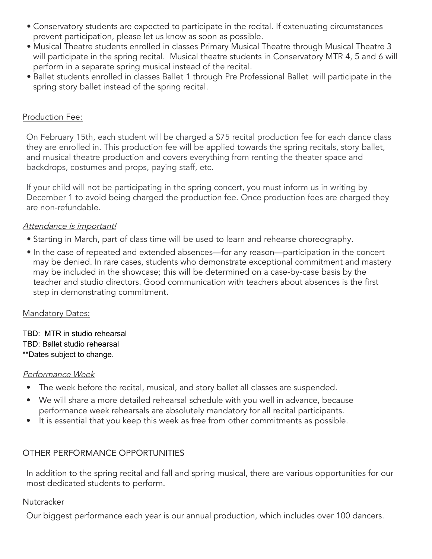- Conservatory students are expected to participate in the recital. If extenuating circumstances prevent participation, please let us know as soon as possible.
- Musical Theatre students enrolled in classes Primary Musical Theatre through Musical Theatre 3 will participate in the spring recital. Musical theatre students in Conservatory MTR 4, 5 and 6 will perform in a separate spring musical instead of the recital.
- Ballet students enrolled in classes Ballet 1 through Pre Professional Ballet will participate in the spring story ballet instead of the spring recital.

#### Production Fee:

On February 15th, each student will be charged a \$75 recital production fee for each dance class they are enrolled in. This production fee will be applied towards the spring recitals, story ballet, and musical theatre production and covers everything from renting the theater space and backdrops, costumes and props, paying staff, etc.

If your child will not be participating in the spring concert, you must inform us in writing by December 1 to avoid being charged the production fee. Once production fees are charged they are non-refundable.

#### Attendance is important!

- Starting in March, part of class time will be used to learn and rehearse choreography.
- In the case of repeated and extended absences—for any reason—participation in the concert may be denied. In rare cases, students who demonstrate exceptional commitment and mastery may be included in the showcase; this will be determined on a case-by-case basis by the teacher and studio directors. Good communication with teachers about absences is the first step in demonstrating commitment.

#### **Mandatory Dates:**

TBD: MTR in studio rehearsal TBD: Ballet studio rehearsal \*\*Dates subject to change.

#### Performance Week

- The week before the recital, musical, and story ballet all classes are suspended.
- We will share a more detailed rehearsal schedule with you well in advance, because performance week rehearsals are absolutely mandatory for all recital participants.
- It is essential that you keep this week as free from other commitments as possible.

# OTHER PERFORMANCE OPPORTUNITIES

In addition to the spring recital and fall and spring musical, there are various opportunities for our most dedicated students to perform.

#### **Nutcracker**

Our biggest performance each year is our annual production, which includes over 100 dancers.